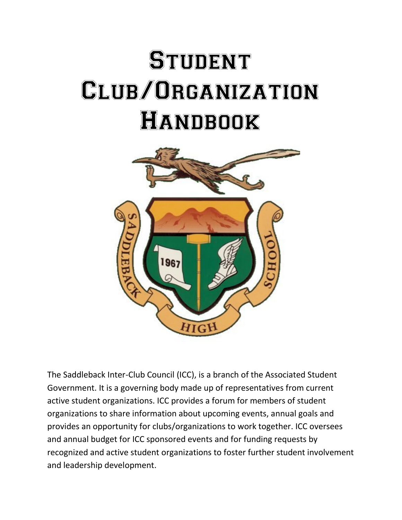# **STUDENT** Club/Organization Handbook



The Saddleback Inter-Club Council (ICC), is a branch of the Associated Student Government. It is a governing body made up of representatives from current active student organizations. ICC provides a forum for members of student organizations to share information about upcoming events, annual goals and provides an opportunity for clubs/organizations to work together. ICC oversees and annual budget for ICC sponsored events and for funding requests by recognized and active student organizations to foster further student involvement and leadership development.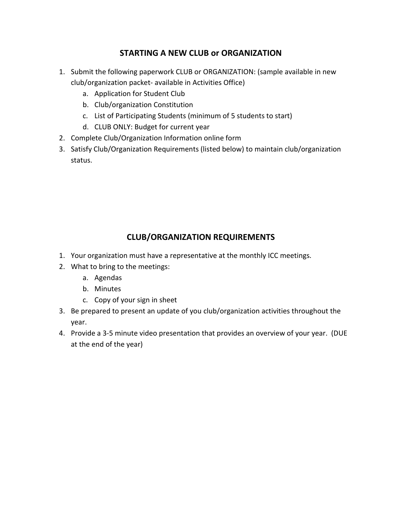### **STARTING A NEW CLUB or ORGANIZATION**

- 1. Submit the following paperwork CLUB or ORGANIZATION: (sample available in new club/organization packet- available in Activities Office)
	- a. Application for Student Club
	- b. Club/organization Constitution
	- c. List of Participating Students (minimum of 5 students to start)
	- d. CLUB ONLY: Budget for current year
- 2. Complete Club/Organization Information online form
- 3. Satisfy Club/Organization Requirements (listed below) to maintain club/organization status.

## **CLUB/ORGANIZATION REQUIREMENTS**

- 1. Your organization must have a representative at the monthly ICC meetings.
- 2. What to bring to the meetings:
	- a. Agendas
	- b. Minutes
	- c. Copy of your sign in sheet
- 3. Be prepared to present an update of you club/organization activities throughout the year.
- 4. Provide a 3-5 minute video presentation that provides an overview of your year. (DUE at the end of the year)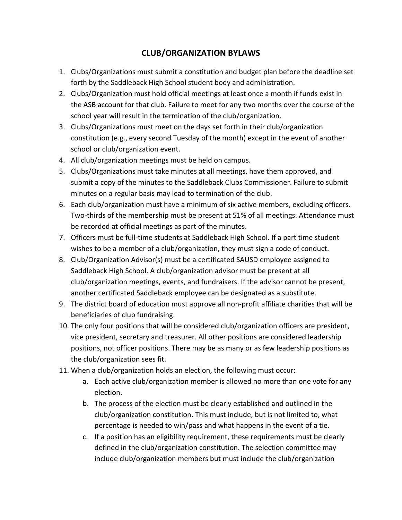### **CLUB/ORGANIZATION BYLAWS**

- 1. Clubs/Organizations must submit a constitution and budget plan before the deadline set forth by the Saddleback High School student body and administration.
- 2. Clubs/Organization must hold official meetings at least once a month if funds exist in the ASB account for that club. Failure to meet for any two months over the course of the school year will result in the termination of the club/organization.
- 3. Clubs/Organizations must meet on the days set forth in their club/organization constitution (e.g., every second Tuesday of the month) except in the event of another school or club/organization event.
- 4. All club/organization meetings must be held on campus.
- 5. Clubs/Organizations must take minutes at all meetings, have them approved, and submit a copy of the minutes to the Saddleback Clubs Commissioner. Failure to submit minutes on a regular basis may lead to termination of the club.
- 6. Each club/organization must have a minimum of six active members, excluding officers. Two-thirds of the membership must be present at 51% of all meetings. Attendance must be recorded at official meetings as part of the minutes.
- 7. Officers must be full-time students at Saddleback High School. If a part time student wishes to be a member of a club/organization, they must sign a code of conduct.
- 8. Club/Organization Advisor(s) must be a certificated SAUSD employee assigned to Saddleback High School. A club/organization advisor must be present at all club/organization meetings, events, and fundraisers. If the advisor cannot be present, another certificated Saddleback employee can be designated as a substitute.
- 9. The district board of education must approve all non-profit affiliate charities that will be beneficiaries of club fundraising.
- 10. The only four positions that will be considered club/organization officers are president, vice president, secretary and treasurer. All other positions are considered leadership positions, not officer positions. There may be as many or as few leadership positions as the club/organization sees fit.
- 11. When a club/organization holds an election, the following must occur:
	- a. Each active club/organization member is allowed no more than one vote for any election.
	- b. The process of the election must be clearly established and outlined in the club/organization constitution. This must include, but is not limited to, what percentage is needed to win/pass and what happens in the event of a tie.
	- c. If a position has an eligibility requirement, these requirements must be clearly defined in the club/organization constitution. The selection committee may include club/organization members but must include the club/organization